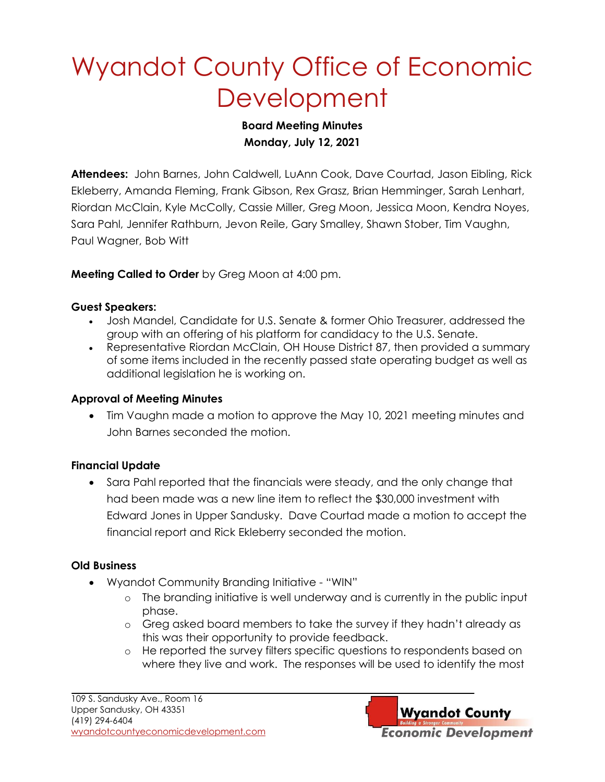# Wyandot County Office of Economic **Development**

### **Board Meeting Minutes Monday, July 12, 2021**

**Attendees:** John Barnes, John Caldwell, LuAnn Cook, Dave Courtad, Jason Eibling, Rick Ekleberry, Amanda Fleming, Frank Gibson, Rex Grasz, Brian Hemminger, Sarah Lenhart, Riordan McClain, Kyle McColly, Cassie Miller, Greg Moon, Jessica Moon, Kendra Noyes, Sara Pahl, Jennifer Rathburn, Jevon Reile, Gary Smalley, Shawn Stober, Tim Vaughn, Paul Wagner, Bob Witt

### **Meeting Called to Order** by Greg Moon at 4:00 pm.

### **Guest Speakers:**

- Josh Mandel, Candidate for U.S. Senate & former Ohio Treasurer, addressed the group with an offering of his platform for candidacy to the U.S. Senate.
- Representative Riordan McClain, OH House District 87, then provided a summary of some items included in the recently passed state operating budget as well as additional legislation he is working on.

### **Approval of Meeting Minutes**

• Tim Vaughn made a motion to approve the May 10, 2021 meeting minutes and John Barnes seconded the motion.

### **Financial Update**

• Sara Pahl reported that the financials were steady, and the only change that had been made was a new line item to reflect the \$30,000 investment with Edward Jones in Upper Sandusky. Dave Courtad made a motion to accept the financial report and Rick Ekleberry seconded the motion.

### **Old Business**

- Wyandot Community Branding Initiative "WIN"
	- o The branding initiative is well underway and is currently in the public input phase.
	- o Greg asked board members to take the survey if they hadn't already as this was their opportunity to provide feedback.
	- o He reported the survey filters specific questions to respondents based on where they live and work. The responses will be used to identify the most

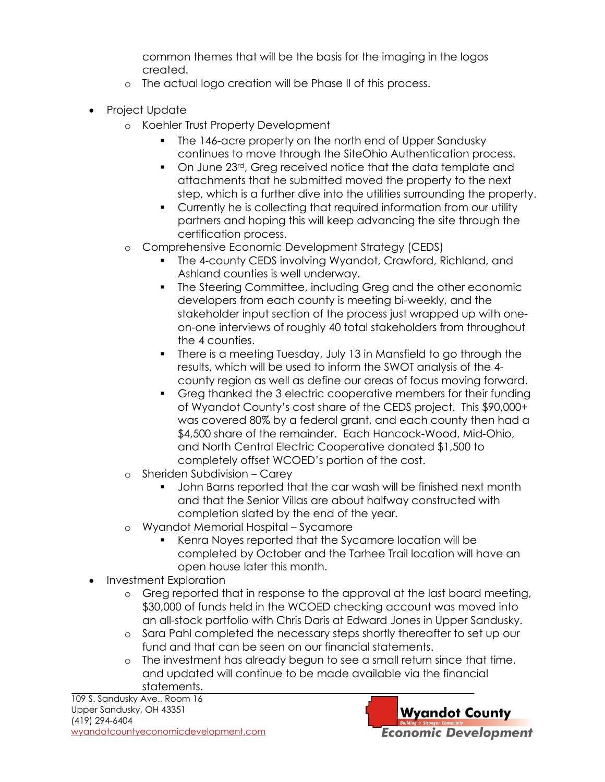common themes that will be the basis for the imaging in the logos created.

- o The actual logo creation will be Phase II of this process.
- Project Update
	- o Koehler Trust Property Development
		- The 146-acre property on the north end of Upper Sandusky continues to move through the SiteOhio Authentication process.
		- On June 23<sup>rd</sup>, Greg received notice that the data template and attachments that he submitted moved the property to the next step, which is a further dive into the utilities surrounding the property.
		- Currently he is collecting that required information from our utility partners and hoping this will keep advancing the site through the certification process.
	- o Comprehensive Economic Development Strategy (CEDS)
		- **The 4-county CEDS involving Wyandot, Crawford, Richland, and** Ashland counties is well underway.
		- The Steering Committee, including Greg and the other economic developers from each county is meeting bi-weekly, and the stakeholder input section of the process just wrapped up with oneon-one interviews of roughly 40 total stakeholders from throughout the 4 counties.
		- There is a meeting Tuesday, July 13 in Mansfield to go through the results, which will be used to inform the SWOT analysis of the 4 county region as well as define our areas of focus moving forward.
		- Greg thanked the 3 electric cooperative members for their funding of Wyandot County's cost share of the CEDS project. This \$90,000+ was covered 80% by a federal grant, and each county then had a \$4,500 share of the remainder. Each Hancock-Wood, Mid-Ohio, and North Central Electric Cooperative donated \$1,500 to completely offset WCOED's portion of the cost.
	- o Sheriden Subdivision Carey
		- John Barns reported that the car wash will be finished next month and that the Senior Villas are about halfway constructed with completion slated by the end of the year.
	- o Wyandot Memorial Hospital Sycamore
		- Kenra Noyes reported that the Sycamore location will be completed by October and the Tarhee Trail location will have an open house later this month.
- Investment Exploration
	- o Greg reported that in response to the approval at the last board meeting, \$30,000 of funds held in the WCOED checking account was moved into an all-stock portfolio with Chris Daris at Edward Jones in Upper Sandusky.
	- o Sara Pahl completed the necessary steps shortly thereafter to set up our fund and that can be seen on our financial statements.
	- o The investment has already begun to see a small return since that time, and updated will continue to be made available via the financial statements.

109 S. Sandusky Ave., Room 16 Upper Sandusky, OH 43351 (419) 294-6404 [wyandotcountyeconomicdevelopment.com](http://www.wyandotcountyeconomicdevelopment.com/)

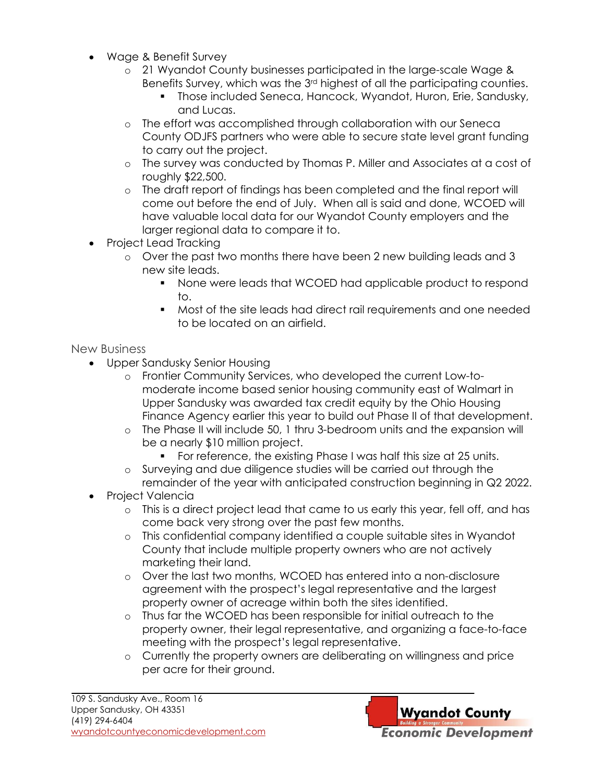- Wage & Benefit Survey
	- o 21 Wyandot County businesses participated in the large-scale Wage & Benefits Survey, which was the 3rd highest of all the participating counties.
		- Those included Seneca, Hancock, Wyandot, Huron, Erie, Sandusky, and Lucas.
	- o The effort was accomplished through collaboration with our Seneca County ODJFS partners who were able to secure state level grant funding to carry out the project.
	- o The survey was conducted by Thomas P. Miller and Associates at a cost of roughly \$22,500.
	- o The draft report of findings has been completed and the final report will come out before the end of July. When all is said and done, WCOED will have valuable local data for our Wyandot County employers and the larger regional data to compare it to.
- Project Lead Tracking
	- $\circ$  Over the past two months there have been 2 new building leads and 3 new site leads.
		- None were leads that WCOED had applicable product to respond to.
		- Most of the site leads had direct rail requirements and one needed to be located on an airfield.

#### New Business

- Upper Sandusky Senior Housing
	- o Frontier Community Services, who developed the current Low-tomoderate income based senior housing community east of Walmart in Upper Sandusky was awarded tax credit equity by the Ohio Housing Finance Agency earlier this year to build out Phase II of that development.
	- o The Phase II will include 50, 1 thru 3-bedroom units and the expansion will be a nearly \$10 million project.
		- For reference, the existing Phase I was half this size at 25 units.
	- o Surveying and due diligence studies will be carried out through the remainder of the year with anticipated construction beginning in Q2 2022.
- Project Valencia
	- o This is a direct project lead that came to us early this year, fell off, and has come back very strong over the past few months.
	- o This confidential company identified a couple suitable sites in Wyandot County that include multiple property owners who are not actively marketing their land.
	- o Over the last two months, WCOED has entered into a non-disclosure agreement with the prospect's legal representative and the largest property owner of acreage within both the sites identified.
	- o Thus far the WCOED has been responsible for initial outreach to the property owner, their legal representative, and organizing a face-to-face meeting with the prospect's legal representative.
	- o Currently the property owners are deliberating on willingness and price per acre for their ground.

**Wyandot County Economic Development**